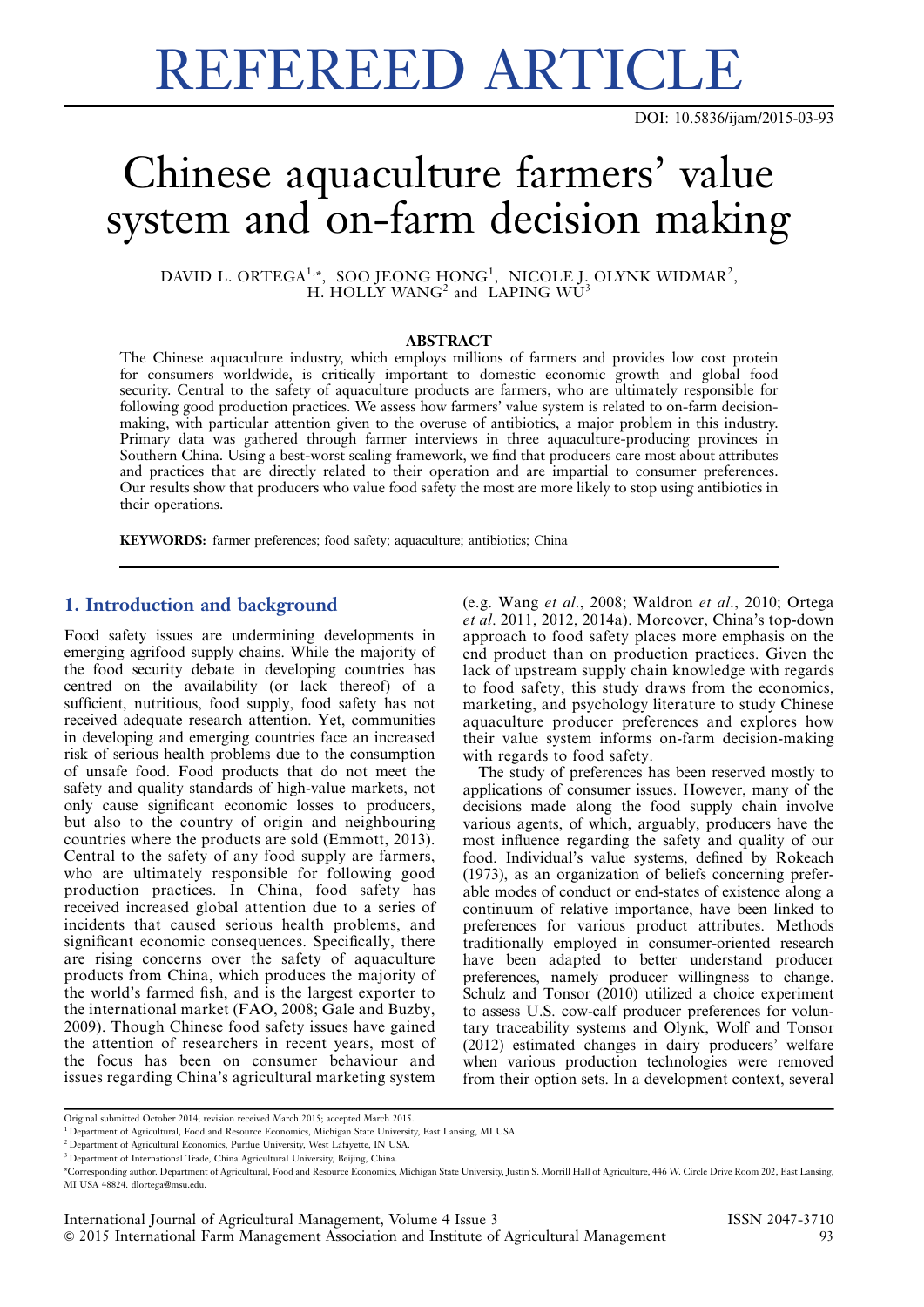# REFEREED ARTICLE

## Chinese aquaculture farmers' value system and on-farm decision making

DAVID L. ORTEGA<sup>1,</sup>\*, SOO JEONG HONG<sup>1</sup>, NICOLE J. OLYNK WIDMAR<sup>2</sup>, H. HOLLY WANG<sup>2</sup> and LAPING WU

#### ABSTRACT

The Chinese aquaculture industry, which employs millions of farmers and provides low cost protein for consumers worldwide, is critically important to domestic economic growth and global food security. Central to the safety of aquaculture products are farmers, who are ultimately responsible for following good production practices. We assess how farmers' value system is related to on-farm decisionmaking, with particular attention given to the overuse of antibiotics, a major problem in this industry. Primary data was gathered through farmer interviews in three aquaculture-producing provinces in Southern China. Using a best-worst scaling framework, we find that producers care most about attributes and practices that are directly related to their operation and are impartial to consumer preferences. Our results show that producers who value food safety the most are more likely to stop using antibiotics in their operations.

KEYWORDS: farmer preferences; food safety; aquaculture; antibiotics; China

#### 1. Introduction and background

Food safety issues are undermining developments in emerging agrifood supply chains. While the majority of the food security debate in developing countries has centred on the availability (or lack thereof) of a sufficient, nutritious, food supply, food safety has not received adequate research attention. Yet, communities in developing and emerging countries face an increased risk of serious health problems due to the consumption of unsafe food. Food products that do not meet the safety and quality standards of high-value markets, not only cause significant economic losses to producers, but also to the country of origin and neighbouring countries where the products are sold (Emmott, 2013). Central to the safety of any food supply are farmers, who are ultimately responsible for following good production practices. In China, food safety has received increased global attention due to a series of incidents that caused serious health problems, and significant economic consequences. Specifically, there are rising concerns over the safety of aquaculture products from China, which produces the majority of the world's farmed fish, and is the largest exporter to the international market (FAO, 2008; Gale and Buzby, 2009). Though Chinese food safety issues have gained the attention of researchers in recent years, most of the focus has been on consumer behaviour and issues regarding China's agricultural marketing system (e.g. Wang et al., 2008; Waldron et al., 2010; Ortega et al. 2011, 2012, 2014a). Moreover, China's top-down approach to food safety places more emphasis on the end product than on production practices. Given the lack of upstream supply chain knowledge with regards to food safety, this study draws from the economics, marketing, and psychology literature to study Chinese aquaculture producer preferences and explores how their value system informs on-farm decision-making with regards to food safety.

The study of preferences has been reserved mostly to applications of consumer issues. However, many of the decisions made along the food supply chain involve various agents, of which, arguably, producers have the most influence regarding the safety and quality of our food. Individual's value systems, defined by Rokeach (1973), as an organization of beliefs concerning preferable modes of conduct or end-states of existence along a continuum of relative importance, have been linked to preferences for various product attributes. Methods traditionally employed in consumer-oriented research have been adapted to better understand producer preferences, namely producer willingness to change. Schulz and Tonsor (2010) utilized a choice experiment to assess U.S. cow-calf producer preferences for voluntary traceability systems and Olynk, Wolf and Tonsor (2012) estimated changes in dairy producers' welfare when various production technologies were removed from their option sets. In a development context, several

Original submitted October 2014; revision received March 2015; accepted March 2015.

<sup>&</sup>lt;sup>1</sup> Department of Agricultural, Food and Resource Economics, Michigan State University, East Lansing, MI USA.

<sup>&</sup>lt;sup>2</sup> Department of Agricultural Economics, Purdue University, West Lafayette, IN USA.

<sup>&</sup>lt;sup>3</sup> Department of International Trade, China Agricultural University, Beijing, China.

<sup>\*</sup>Corresponding author. Department of Agricultural, Food and Resource Economics, Michigan State University, Justin S. Morrill Hall of Agriculture, 446 W. Circle Drive Room 202, East Lansing, MI USA 48824. dlortega@msu.edu.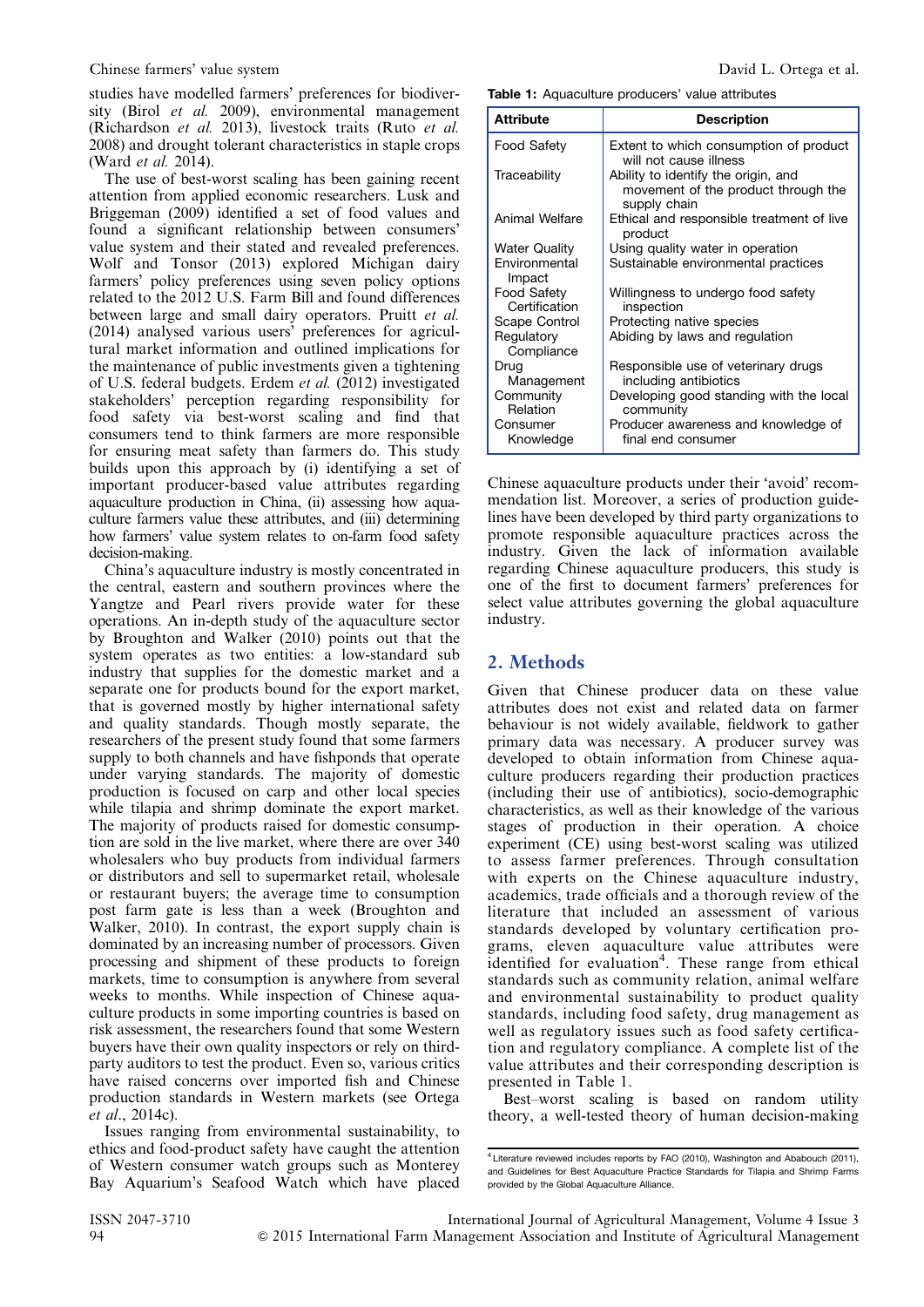studies have modelled farmers' preferences for biodiversity (Birol et al. 2009), environmental management (Richardson et al. 2013), livestock traits (Ruto et al. 2008) and drought tolerant characteristics in staple crops (Ward et al. 2014).

The use of best-worst scaling has been gaining recent attention from applied economic researchers. Lusk and Briggeman (2009) identified a set of food values and found a significant relationship between consumers' value system and their stated and revealed preferences. Wolf and Tonsor (2013) explored Michigan dairy farmers' policy preferences using seven policy options related to the 2012 U.S. Farm Bill and found differences between large and small dairy operators. Pruitt et al. (2014) analysed various users' preferences for agricultural market information and outlined implications for the maintenance of public investments given a tightening of U.S. federal budgets. Erdem et al. (2012) investigated stakeholders' perception regarding responsibility for food safety via best-worst scaling and find that consumers tend to think farmers are more responsible for ensuring meat safety than farmers do. This study builds upon this approach by (i) identifying a set of important producer-based value attributes regarding aquaculture production in China, (ii) assessing how aquaculture farmers value these attributes, and (iii) determining how farmers' value system relates to on-farm food safety decision-making.

China's aquaculture industry is mostly concentrated in the central, eastern and southern provinces where the Yangtze and Pearl rivers provide water for these operations. An in-depth study of the aquaculture sector by Broughton and Walker (2010) points out that the system operates as two entities: a low-standard sub industry that supplies for the domestic market and a separate one for products bound for the export market, that is governed mostly by higher international safety and quality standards. Though mostly separate, the researchers of the present study found that some farmers supply to both channels and have fishponds that operate under varying standards. The majority of domestic production is focused on carp and other local species while tilapia and shrimp dominate the export market. The majority of products raised for domestic consumption are sold in the live market, where there are over 340 wholesalers who buy products from individual farmers or distributors and sell to supermarket retail, wholesale or restaurant buyers; the average time to consumption post farm gate is less than a week (Broughton and Walker, 2010). In contrast, the export supply chain is dominated by an increasing number of processors. Given processing and shipment of these products to foreign markets, time to consumption is anywhere from several weeks to months. While inspection of Chinese aquaculture products in some importing countries is based on risk assessment, the researchers found that some Western buyers have their own quality inspectors or rely on thirdparty auditors to test the product. Even so, various critics have raised concerns over imported fish and Chinese production standards in Western markets (see Ortega et al., 2014c).

Issues ranging from environmental sustainability, to ethics and food-product safety have caught the attention of Western consumer watch groups such as Monterey Bay Aquarium's Seafood Watch which have placed

Table 1: Aquaculture producers' value attributes

| <b>Attribute</b>                    | <b>Description</b>                                                                         |
|-------------------------------------|--------------------------------------------------------------------------------------------|
| Food Safety                         | Extent to which consumption of product<br>will not cause illness                           |
| Traceability                        | Ability to identify the origin, and<br>movement of the product through the<br>supply chain |
| Animal Welfare                      | Ethical and responsible treatment of live<br>product                                       |
| <b>Water Quality</b>                | Using quality water in operation                                                           |
| Environmental<br>Impact             | Sustainable environmental practices                                                        |
| <b>Food Safety</b><br>Certification | Willingness to undergo food safety<br>inspection                                           |
| Scape Control                       | Protecting native species                                                                  |
| Regulatory<br>Compliance            | Abiding by laws and regulation                                                             |
| Drug<br>Management                  | Responsible use of veterinary drugs<br>including antibiotics                               |
| Community<br>Relation               | Developing good standing with the local<br>community                                       |
| Consumer<br>Knowledge               | Producer awareness and knowledge of<br>final end consumer                                  |

Chinese aquaculture products under their 'avoid' recommendation list. Moreover, a series of production guidelines have been developed by third party organizations to promote responsible aquaculture practices across the industry. Given the lack of information available regarding Chinese aquaculture producers, this study is one of the first to document farmers' preferences for select value attributes governing the global aquaculture industry.

### 2. Methods

Given that Chinese producer data on these value attributes does not exist and related data on farmer behaviour is not widely available, fieldwork to gather primary data was necessary. A producer survey was developed to obtain information from Chinese aquaculture producers regarding their production practices (including their use of antibiotics), socio-demographic characteristics, as well as their knowledge of the various stages of production in their operation. A choice experiment (CE) using best-worst scaling was utilized to assess farmer preferences. Through consultation with experts on the Chinese aquaculture industry, academics, trade officials and a thorough review of the literature that included an assessment of various standards developed by voluntary certification programs, eleven aquaculture value attributes were identified for evaluation<sup>4</sup>. These range from ethical standards such as community relation, animal welfare and environmental sustainability to product quality standards, including food safety, drug management as well as regulatory issues such as food safety certification and regulatory compliance. A complete list of the value attributes and their corresponding description is presented in Table 1.

Best–worst scaling is based on random utility theory, a well-tested theory of human decision-making

<sup>4</sup> Literature reviewed includes reports by FAO (2010), Washington and Ababouch (2011), and Guidelines for Best Aquaculture Practice Standards for Tilapia and Shrimp Farms provided by the Global Aquaculture Alliance.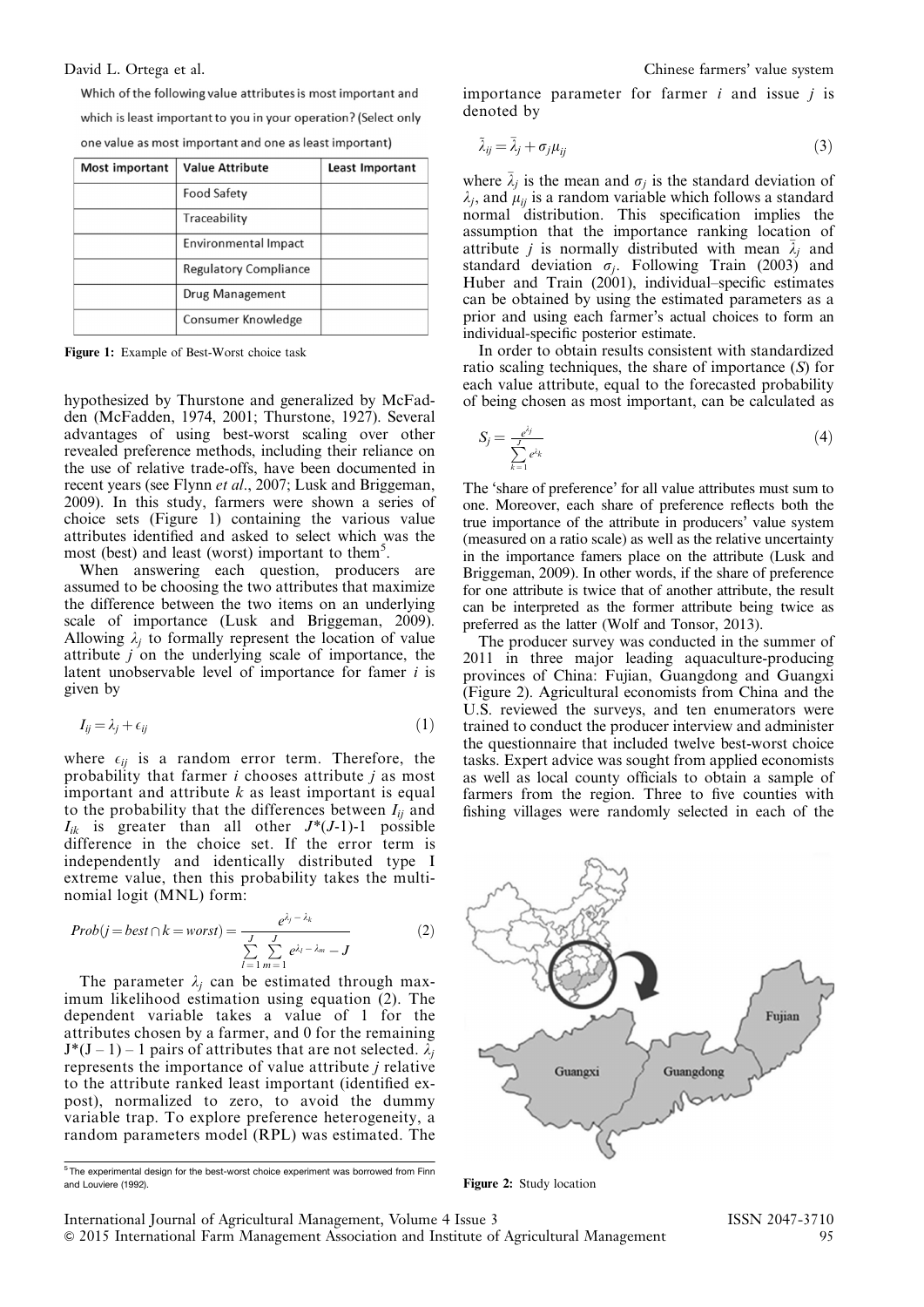Which of the following value attributes is most important and which is least important to you in your operation? (Select only one value as most important and one as least important)

| Most important | <b>Value Attribute</b>       | Least Important |
|----------------|------------------------------|-----------------|
|                | <b>Food Safety</b>           |                 |
|                | Traceability                 |                 |
|                | <b>Environmental Impact</b>  |                 |
|                | <b>Regulatory Compliance</b> |                 |
|                | Drug Management              |                 |
|                | Consumer Knowledge           |                 |

Figure 1: Example of Best-Worst choice task

hypothesized by Thurstone and generalized by McFadden (McFadden, 1974, 2001; Thurstone, 1927). Several advantages of using best-worst scaling over other revealed preference methods, including their reliance on the use of relative trade-offs, have been documented in recent years (see Flynn et al., 2007; Lusk and Briggeman, 2009). In this study, farmers were shown a series of choice sets (Figure 1) containing the various value attributes identified and asked to select which was the most (best) and least (worst) important to them<sup>5</sup>.

When answering each question, producers are assumed to be choosing the two attributes that maximize the difference between the two items on an underlying scale of importance (Lusk and Briggeman, 2009). Allowing  $\lambda_i$  to formally represent the location of value attribute  $\vec{i}$  on the underlying scale of importance, the latent unobservable level of importance for famer i is given by

$$
I_{ij} = \lambda_j + \epsilon_{ij} \tag{1}
$$

where  $\epsilon_{ii}$  is a random error term. Therefore, the probability that farmer  $i$  chooses attribute  $j$  as most important and attribute  $k$  as least important is equal to the probability that the differences between  $I_{ii}$  and  $I_{ik}$  is greater than all other  $J^*(J-1)-1$  possible difference in the choice set. If the error term is independently and identically distributed type I extreme value, then this probability takes the multinomial logit (MNL) form:

$$
Prob(j = best \cap k = worst) = \frac{e^{\lambda_j - \lambda_k}}{\sum_{l=1}^{J} \sum_{m=1}^{J} e^{\lambda_l - \lambda_m} - J}
$$
(2)

The parameter  $\lambda_i$  can be estimated through maximum likelihood estimation using equation (2). The dependent variable takes a value of 1 for the attributes chosen by a farmer, and 0 for the remaining  $J^*(J - 1) - 1$  pairs of attributes that are not selected.  $\lambda_i$ represents the importance of value attribute j relative to the attribute ranked least important (identified expost), normalized to zero, to avoid the dummy variable trap. To explore preference heterogeneity, a random parameters model (RPL) was estimated. The

<sup>5</sup> The experimental design for the best-worst choice experiment was borrowed from Finn and Louviere (1992).

importance parameter for farmer  $i$  and issue  $j$  is denoted by

$$
\tilde{\lambda}_{ij} = \bar{\lambda}_j + \sigma_j \mu_{ij} \tag{3}
$$

where  $\bar{\lambda}_j$  is the mean and  $\sigma_j$  is the standard deviation of  $\lambda_j$ , and  $\mu_{ij}$  is a random variable which follows a standard normal distribution. This specification implies the assumption that the importance ranking location of attribute *j* is normally distributed with mean  $\bar{\lambda}_j$  and standard deviation  $\sigma_i$ . Following Train (2003) and Huber and Train (2001), individual–specific estimates can be obtained by using the estimated parameters as a prior and using each farmer's actual choices to form an individual-specific posterior estimate.

In order to obtain results consistent with standardized ratio scaling techniques, the share of importance (S) for each value attribute, equal to the forecasted probability of being chosen as most important, can be calculated as

$$
S_j = \frac{e^{\lambda_j}}{\sum\limits_{k=1}^J e^{\lambda_k}}\tag{4}
$$

The 'share of preference' for all value attributes must sum to one. Moreover, each share of preference reflects both the true importance of the attribute in producers' value system (measured on a ratio scale) as well as the relative uncertainty in the importance famers place on the attribute (Lusk and Briggeman, 2009). In other words, if the share of preference for one attribute is twice that of another attribute, the result can be interpreted as the former attribute being twice as preferred as the latter (Wolf and Tonsor, 2013).

The producer survey was conducted in the summer of 2011 in three major leading aquaculture-producing provinces of China: Fujian, Guangdong and Guangxi (Figure 2). Agricultural economists from China and the U.S. reviewed the surveys, and ten enumerators were trained to conduct the producer interview and administer the questionnaire that included twelve best-worst choice tasks. Expert advice was sought from applied economists as well as local county officials to obtain a sample of farmers from the region. Three to five counties with fishing villages were randomly selected in each of the



Figure 2: Study location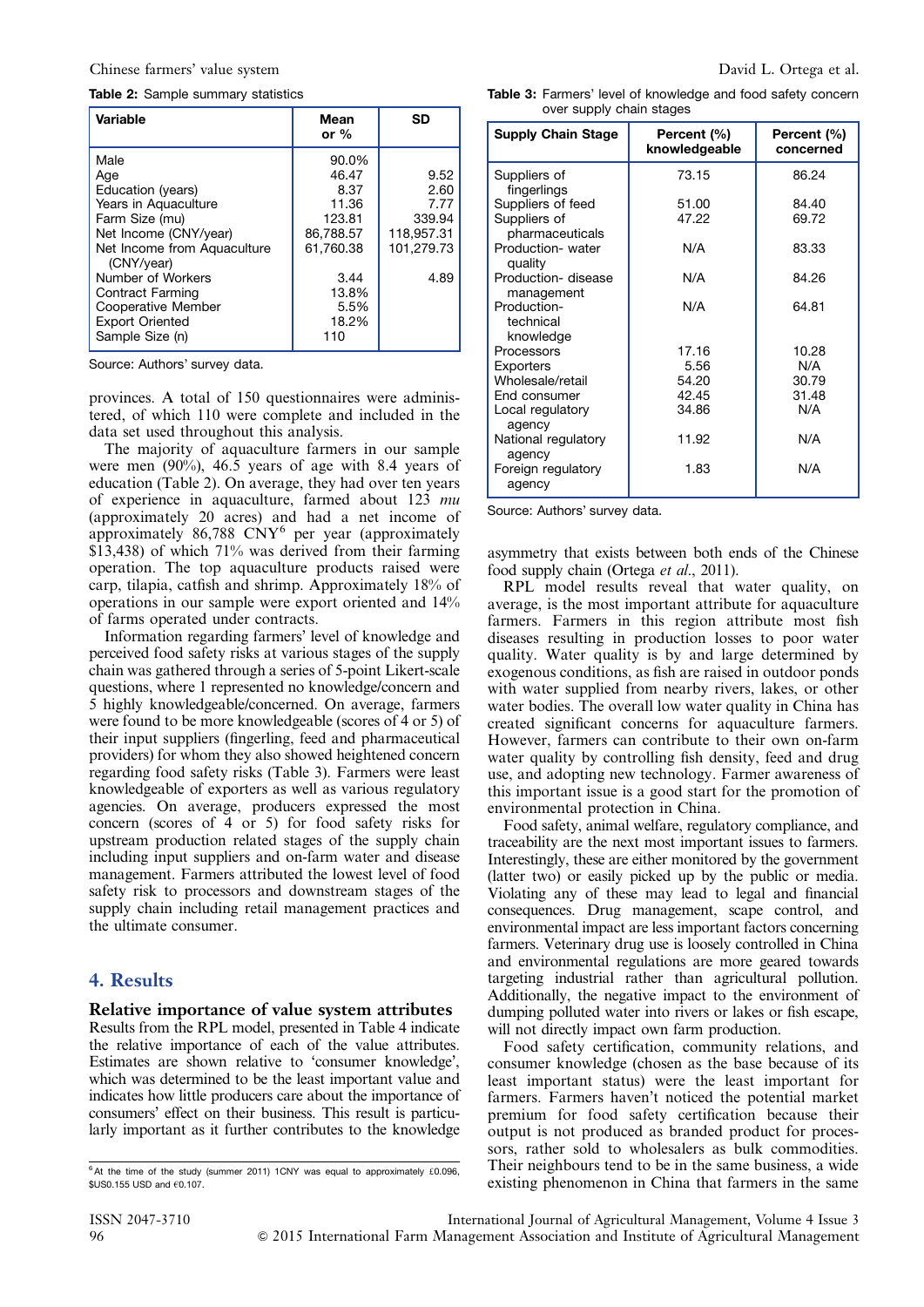#### Chinese farmers' value system David L. Ortega et al.

#### Table 2: Sample summary statistics

| Variable                                                           | Mean<br>or $%$         | <b>SD</b>                |
|--------------------------------------------------------------------|------------------------|--------------------------|
| Male<br>Age                                                        | 90.0%<br>46.47         | 9.52                     |
| Education (years)<br>Years in Aquaculture                          | 8.37<br>11.36          | 2.60<br>7.77             |
| Farm Size (mu)                                                     | 123.81                 | 339.94                   |
| Net Income (CNY/year)<br>Net Income from Aquaculture<br>(CNY/year) | 86,788.57<br>61.760.38 | 118,957.31<br>101.279.73 |
| Number of Workers<br>Contract Farming                              | 3.44<br>13.8%          | 4.89                     |
| Cooperative Member<br><b>Export Oriented</b><br>Sample Size (n)    | 5.5%<br>18.2%<br>110   |                          |

Source: Authors' survey data.

provinces. A total of 150 questionnaires were administered, of which 110 were complete and included in the data set used throughout this analysis.

The majority of aquaculture farmers in our sample were men  $(90\%)$ , 46.5 years of age with 8.4 years of education (Table 2). On average, they had over ten years of experience in aquaculture, farmed about 123 mu (approximately 20 acres) and had a net income of approximately  $86,788$  CNY<sup>6</sup> per year (approximately \$13,438) of which 71% was derived from their farming operation. The top aquaculture products raised were carp, tilapia, catfish and shrimp. Approximately 18% of operations in our sample were export oriented and 14% of farms operated under contracts.

Information regarding farmers' level of knowledge and perceived food safety risks at various stages of the supply chain was gathered through a series of 5-point Likert-scale questions, where 1 represented no knowledge/concern and 5 highly knowledgeable/concerned. On average, farmers were found to be more knowledgeable (scores of 4 or 5) of their input suppliers (fingerling, feed and pharmaceutical providers) for whom they also showed heightened concern regarding food safety risks (Table 3). Farmers were least knowledgeable of exporters as well as various regulatory agencies. On average, producers expressed the most concern (scores of 4 or 5) for food safety risks for upstream production related stages of the supply chain including input suppliers and on-farm water and disease management. Farmers attributed the lowest level of food safety risk to processors and downstream stages of the supply chain including retail management practices and the ultimate consumer.

#### 4. Results

#### Relative importance of value system attributes

Results from the RPL model, presented in [Table 4](#page-4-0) indicate the relative importance of each of the value attributes. Estimates are shown relative to 'consumer knowledge', which was determined to be the least important value and indicates how little producers care about the importance of consumers' effect on their business. This result is particularly important as it further contributes to the knowledge

Table 3: Farmers' level of knowledge and food safety concern

| <b>Supply Chain Stage</b>             | Percent (%)<br>knowledgeable | Percent (%)<br>concerned |
|---------------------------------------|------------------------------|--------------------------|
| Suppliers of<br>fingerlings           | 73.15                        | 86.24                    |
| Suppliers of feed                     | 51.00                        | 84.40                    |
| Suppliers of<br>pharmaceuticals       | 47.22                        | 69.72                    |
| Production- water<br>quality          | N/A                          | 83.33                    |
| Production- disease<br>management     | N/A                          | 84.26                    |
| Production-<br>technical<br>knowledge | N/A                          | 64.81                    |
| Processors                            | 17.16                        | 10.28                    |
| <b>Exporters</b>                      | 5.56                         | N/A                      |
| Wholesale/retail                      | 54.20                        | 30.79                    |
| End consumer                          | 42.45                        | 31.48                    |
| Local regulatory<br>agency            | 34.86                        | N/A                      |
| National regulatory<br>agency         | 11.92                        | N/A                      |
| Foreign regulatory<br>agency          | 1.83                         | N/A                      |

over supply chain stages

Source: Authors' survey data.

asymmetry that exists between both ends of the Chinese food supply chain (Ortega et al., 2011).

RPL model results reveal that water quality, on average, is the most important attribute for aquaculture farmers. Farmers in this region attribute most fish diseases resulting in production losses to poor water quality. Water quality is by and large determined by exogenous conditions, as fish are raised in outdoor ponds with water supplied from nearby rivers, lakes, or other water bodies. The overall low water quality in China has created significant concerns for aquaculture farmers. However, farmers can contribute to their own on-farm water quality by controlling fish density, feed and drug use, and adopting new technology. Farmer awareness of this important issue is a good start for the promotion of environmental protection in China.

Food safety, animal welfare, regulatory compliance, and traceability are the next most important issues to farmers. Interestingly, these are either monitored by the government (latter two) or easily picked up by the public or media. Violating any of these may lead to legal and financial consequences. Drug management, scape control, and environmental impact are less important factors concerning farmers. Veterinary drug use is loosely controlled in China and environmental regulations are more geared towards targeting industrial rather than agricultural pollution. Additionally, the negative impact to the environment of dumping polluted water into rivers or lakes or fish escape, will not directly impact own farm production.

Food safety certification, community relations, and consumer knowledge (chosen as the base because of its least important status) were the least important for farmers. Farmers haven't noticed the potential market premium for food safety certification because their output is not produced as branded product for processors, rather sold to wholesalers as bulk commodities. Their neighbours tend to be in the same business, a wide existing phenomenon in China that farmers in the same

 $6$  At the time of the study (summer 2011) 1CNY was equal to approximately £0.096,  $$US0.155$  USD and  $60.107$ .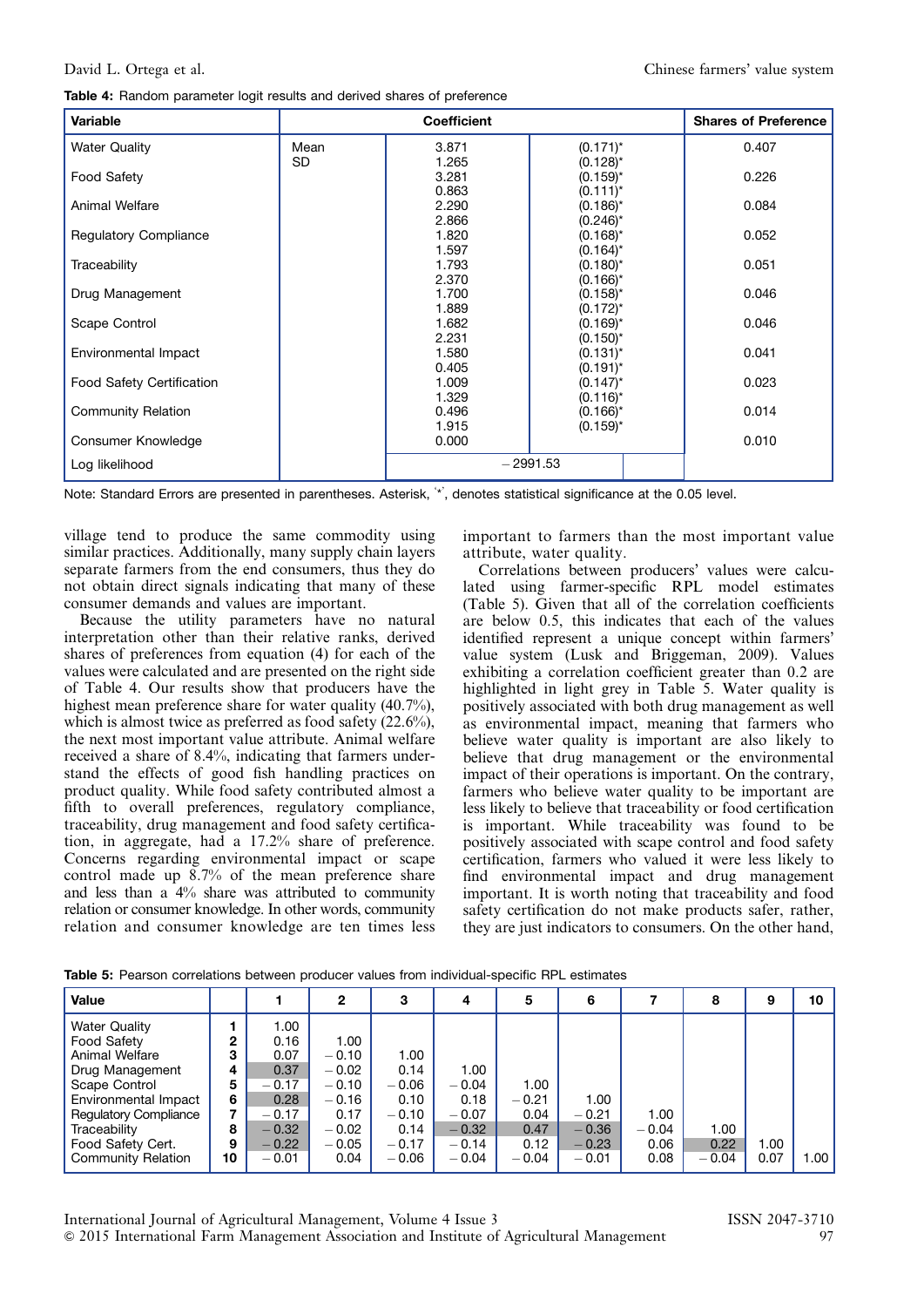<span id="page-4-0"></span>

| Variable                         |           | <b>Shares of Preference</b> |               |       |
|----------------------------------|-----------|-----------------------------|---------------|-------|
| <b>Water Quality</b>             | Mean      | 3.871                       | $(0.171)^*$   | 0.407 |
|                                  | <b>SD</b> | 1.265                       | $(0.128)^{*}$ |       |
| <b>Food Safety</b>               |           | 3.281                       | $(0.159)^*$   | 0.226 |
|                                  |           | 0.863                       | $(0.111)^*$   |       |
| Animal Welfare                   |           | 2.290                       | $(0.186)^*$   | 0.084 |
|                                  |           | 2.866                       | $(0.246)^*$   |       |
| <b>Regulatory Compliance</b>     |           | 1.820                       | $(0.168)^*$   | 0.052 |
|                                  |           | 1.597                       | $(0.164)^*$   |       |
| Traceability                     |           | 1.793                       | $(0.180)^*$   | 0.051 |
|                                  |           | 2.370                       | $(0.166)^*$   |       |
| Drug Management                  |           | 1.700                       | $(0.158)^{*}$ | 0.046 |
|                                  |           | 1.889                       | $(0.172)^{*}$ |       |
| Scape Control                    |           | 1.682                       | $(0.169)^*$   | 0.046 |
|                                  |           | 2.231                       | $(0.150)^*$   |       |
| Environmental Impact             |           | 1.580                       | $(0.131)^{*}$ | 0.041 |
|                                  |           | 0.405                       | $(0.191)^*$   |       |
| <b>Food Safety Certification</b> |           | 1.009                       | $(0.147)^*$   | 0.023 |
|                                  |           | 1.329                       | $(0.116)^*$   |       |
| <b>Community Relation</b>        |           | 0.496                       | $(0.166)^*$   | 0.014 |
|                                  |           | 1.915                       | $(0.159)^*$   |       |
| Consumer Knowledge               |           | 0.000                       |               | 0.010 |
| Log likelihood                   |           | $-2991.53$                  |               |       |

Note: Standard Errors are presented in parentheses. Asterisk, ' \*' , denotes statistical significance at the 0.05 level.

village tend to produce the same commodity using similar practices. Additionally, many supply chain layers separate farmers from the end consumers, thus they do not obtain direct signals indicating that many of these consumer demands and values are important.

Because the utility parameters have no natural interpretation other than their relative ranks, derived shares of preferences from equation (4) for each of the values were calculated and are presented on the right side of Table 4. Our results show that producers have the highest mean preference share for water quality (40.7%), which is almost twice as preferred as food safety (22.6%), the next most important value attribute. Animal welfare received a share of 8.4%, indicating that farmers understand the effects of good fish handling practices on product quality. While food safety contributed almost a fifth to overall preferences, regulatory compliance, traceability, drug management and food safety certification, in aggregate, had a 17.2% share of preference. Concerns regarding environmental impact or scape control made up 8.7% of the mean preference share and less than a  $4\%$  share was attributed to community relation or consumer knowledge. In other words, community relation and consumer knowledge are ten times less important to farmers than the most important value attribute, water quality.

Correlations between producers' values were calculated using farmer-specific RPL model estimates (Table 5). Given that all of the correlation coefficients are below 0.5, this indicates that each of the values identified represent a unique concept within farmers' value system (Lusk and Briggeman, 2009). Values exhibiting a correlation coefficient greater than 0.2 are highlighted in light grey in Table 5. Water quality is positively associated with both drug management as well as environmental impact, meaning that farmers who believe water quality is important are also likely to believe that drug management or the environmental impact of their operations is important. On the contrary, farmers who believe water quality to be important are less likely to believe that traceability or food certification is important. While traceability was found to be positively associated with scape control and food safety certification, farmers who valued it were less likely to find environmental impact and drug management important. It is worth noting that traceability and food safety certification do not make products safer, rather, they are just indicators to consumers. On the other hand,

| Value                        |              |         | 2       | 3       | 4       | 5       | 6       |         | 8       | 9    | 10   |
|------------------------------|--------------|---------|---------|---------|---------|---------|---------|---------|---------|------|------|
| <b>Water Quality</b>         |              | 00. ا   |         |         |         |         |         |         |         |      |      |
| Food Safety                  | $\mathbf{2}$ | 0.16    | 1.00    |         |         |         |         |         |         |      |      |
| Animal Welfare               | з            | 0.07    | $-0.10$ | 1.00    |         |         |         |         |         |      |      |
| Drug Management              | 4            | 0.37    | $-0.02$ | 0.14    | 1.00    |         |         |         |         |      |      |
| Scape Control                | 5            | $-0.17$ | $-0.10$ | $-0.06$ | $-0.04$ | 1.00    |         |         |         |      |      |
| Environmental Impact         | 6            | 0.28    | $-0.16$ | 0.10    | 0.18    | $-0.21$ | 1.00    |         |         |      |      |
| <b>Regulatory Compliance</b> |              | $-0.17$ | 0.17    | $-0.10$ | $-0.07$ | 0.04    | $-0.21$ | 1.00    |         |      |      |
| Traceability                 | 8            | $-0.32$ | $-0.02$ | 0.14    | $-0.32$ | 0.47    | $-0.36$ | $-0.04$ | 1.00    |      |      |
| Food Safety Cert.            | 9            | $-0.22$ | $-0.05$ | $-0.17$ | $-0.14$ | 0.12    | $-0.23$ | 0.06    | 0.22    | 1.00 |      |
| <b>Community Relation</b>    | 10           | $-0.01$ | 0.04    | $-0.06$ | $-0.04$ | $-0.04$ | $-0.01$ | 0.08    | $-0.04$ | 0.07 | 1.00 |

Table 5: Pearson correlations between producer values from individual-specific RPL estimates

International Journal of Agricultural Management, Volume 4 Issue 3 ISSN 2047-3710 & 2015 International Farm Management Association and Institute of Agricultural Management 97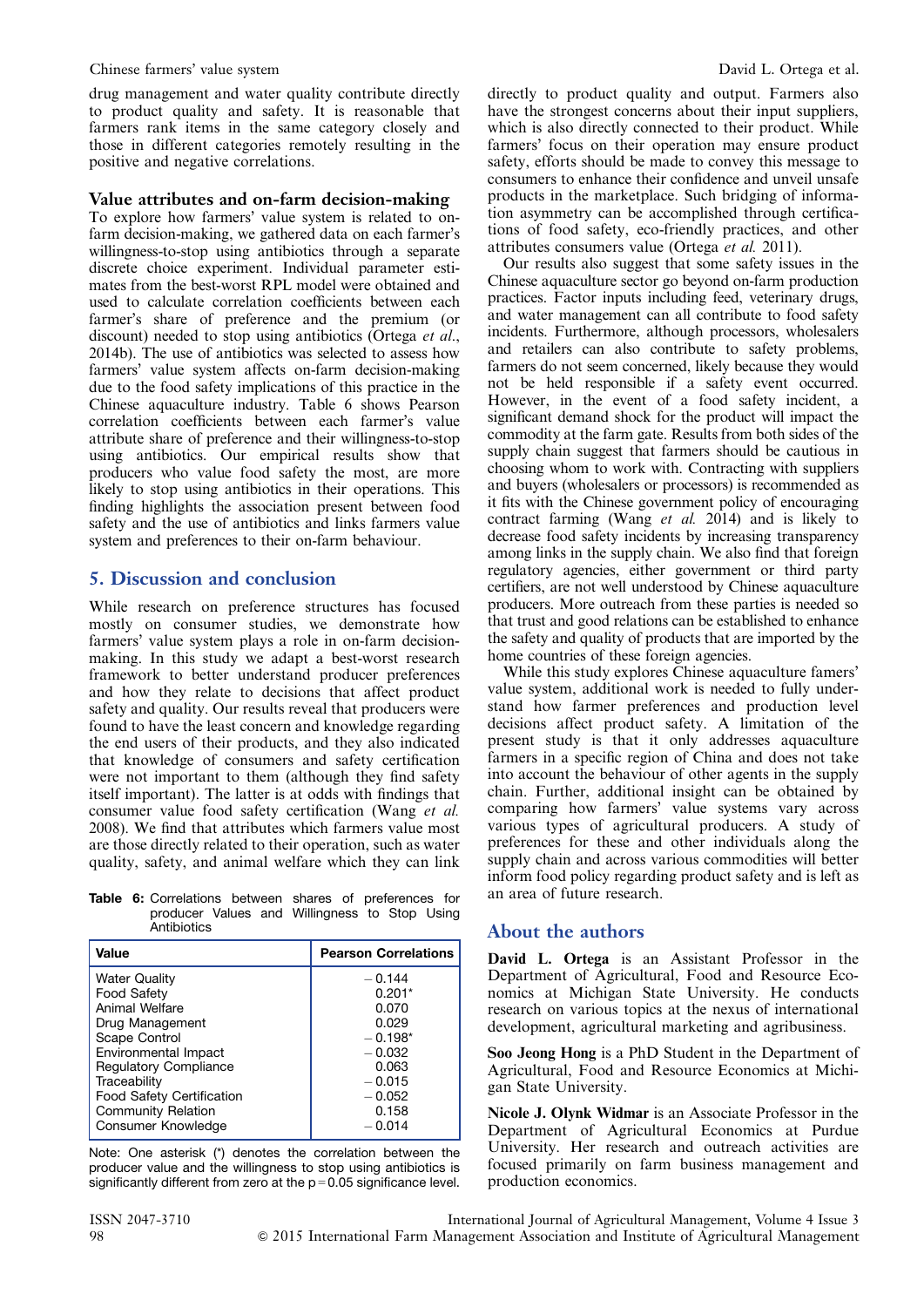#### Chinese farmers' value system David L. Ortega et al.

drug management and water quality contribute directly to product quality and safety. It is reasonable that farmers rank items in the same category closely and those in different categories remotely resulting in the positive and negative correlations.

#### Value attributes and on-farm decision-making

To explore how farmers' value system is related to onfarm decision-making, we gathered data on each farmer's willingness-to-stop using antibiotics through a separate discrete choice experiment. Individual parameter estimates from the best-worst RPL model were obtained and used to calculate correlation coefficients between each farmer's share of preference and the premium (or discount) needed to stop using antibiotics (Ortega et al., 2014b). The use of antibiotics was selected to assess how farmers' value system affects on-farm decision-making due to the food safety implications of this practice in the Chinese aquaculture industry. Table 6 shows Pearson correlation coefficients between each farmer's value attribute share of preference and their willingness-to-stop using antibiotics. Our empirical results show that producers who value food safety the most, are more likely to stop using antibiotics in their operations. This finding highlights the association present between food safety and the use of antibiotics and links farmers value system and preferences to their on-farm behaviour.

#### 5. Discussion and conclusion

While research on preference structures has focused mostly on consumer studies, we demonstrate how farmers' value system plays a role in on-farm decisionmaking. In this study we adapt a best-worst research framework to better understand producer preferences and how they relate to decisions that affect product safety and quality. Our results reveal that producers were found to have the least concern and knowledge regarding the end users of their products, and they also indicated that knowledge of consumers and safety certification were not important to them (although they find safety itself important). The latter is at odds with findings that consumer value food safety certification (Wang et al. 2008). We find that attributes which farmers value most are those directly related to their operation, such as water quality, safety, and animal welfare which they can link

Table 6: Correlations between shares of preferences for producer Values and Willingness to Stop Using **Antibiotics** 

| Value                            | <b>Pearson Correlations</b> |
|----------------------------------|-----------------------------|
| <b>Water Quality</b>             | $-0.144$                    |
| <b>Food Safety</b>               | $0.201*$                    |
| Animal Welfare                   | 0.070                       |
| Drug Management                  | 0.029                       |
| Scape Control                    | $-0.198*$                   |
| Environmental Impact             | $-0.032$                    |
| <b>Regulatory Compliance</b>     | 0.063                       |
| Traceability                     | $-0.015$                    |
| <b>Food Safety Certification</b> | $-0.052$                    |
| <b>Community Relation</b>        | 0.158                       |
| Consumer Knowledge               | $-0.014$                    |

Note: One asterisk (\*) denotes the correlation between the producer value and the willingness to stop using antibiotics is significantly different from zero at the  $p = 0.05$  significance level. directly to product quality and output. Farmers also have the strongest concerns about their input suppliers, which is also directly connected to their product. While farmers' focus on their operation may ensure product safety, efforts should be made to convey this message to consumers to enhance their confidence and unveil unsafe products in the marketplace. Such bridging of information asymmetry can be accomplished through certifications of food safety, eco-friendly practices, and other attributes consumers value (Ortega et al. 2011).

Our results also suggest that some safety issues in the Chinese aquaculture sector go beyond on-farm production practices. Factor inputs including feed, veterinary drugs, and water management can all contribute to food safety incidents. Furthermore, although processors, wholesalers and retailers can also contribute to safety problems, farmers do not seem concerned, likely because they would not be held responsible if a safety event occurred. However, in the event of a food safety incident, a significant demand shock for the product will impact the commodity at the farm gate. Results from both sides of the supply chain suggest that farmers should be cautious in choosing whom to work with. Contracting with suppliers and buyers (wholesalers or processors) is recommended as it fits with the Chinese government policy of encouraging contract farming (Wang et al. 2014) and is likely to decrease food safety incidents by increasing transparency among links in the supply chain. We also find that foreign regulatory agencies, either government or third party certifiers, are not well understood by Chinese aquaculture producers. More outreach from these parties is needed so that trust and good relations can be established to enhance the safety and quality of products that are imported by the home countries of these foreign agencies.

While this study explores Chinese aquaculture famers' value system, additional work is needed to fully understand how farmer preferences and production level decisions affect product safety. A limitation of the present study is that it only addresses aquaculture farmers in a specific region of China and does not take into account the behaviour of other agents in the supply chain. Further, additional insight can be obtained by comparing how farmers' value systems vary across various types of agricultural producers. A study of preferences for these and other individuals along the supply chain and across various commodities will better inform food policy regarding product safety and is left as an area of future research.

#### About the authors

David L. Ortega is an Assistant Professor in the Department of Agricultural, Food and Resource Economics at Michigan State University. He conducts research on various topics at the nexus of international development, agricultural marketing and agribusiness.

Soo Jeong Hong is a PhD Student in the Department of Agricultural, Food and Resource Economics at Michigan State University.

Nicole J. Olynk Widmar is an Associate Professor in the Department of Agricultural Economics at Purdue University. Her research and outreach activities are focused primarily on farm business management and production economics.